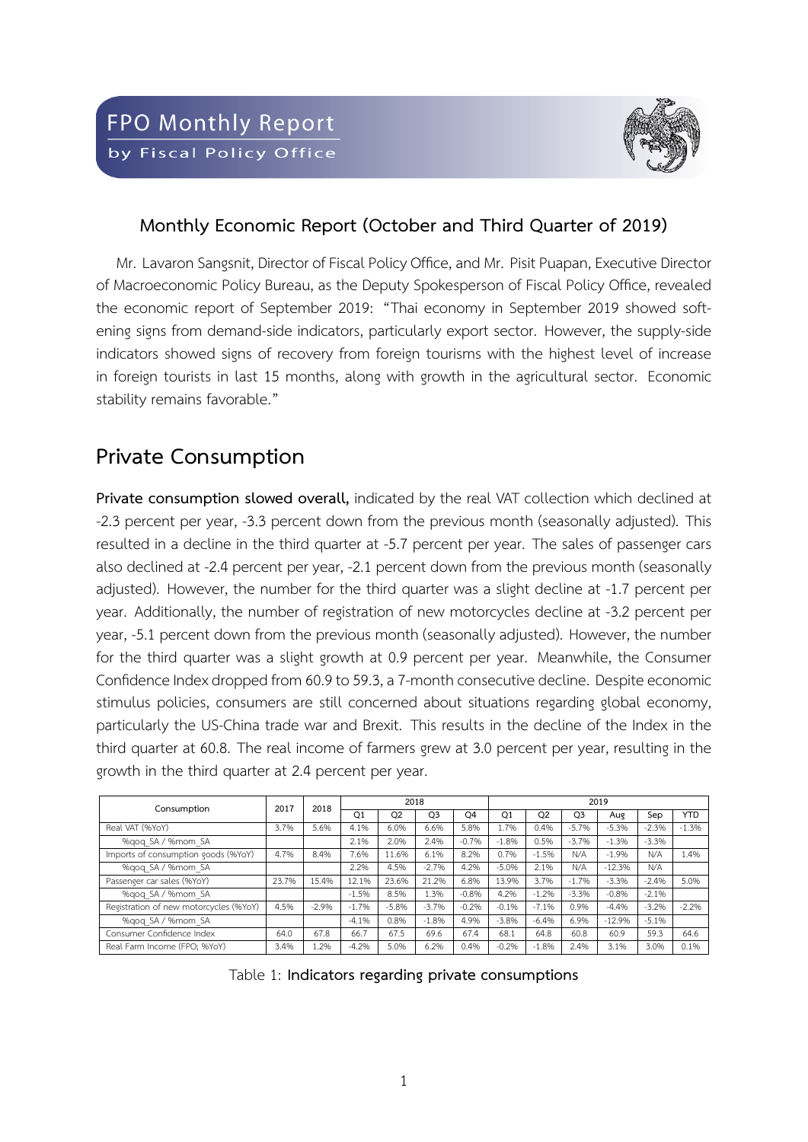

#### **Monthly Economic Report (October and Third Quarter of 2019)**

Mr. Lavaron Sangsnit, Director of Fiscal Policy Office, and Mr. Pisit Puapan, Executive Director of Macroeconomic Policy Bureau, as the Deputy Spokesperson of Fiscal Policy Office, revealed the economic report of September 2019: "Thai economy in September 2019 showed softening signs from demand-side indicators, particularly export sector. However, the supply-side indicators showed signs of recovery from foreign tourisms with the highest level of increase in foreign tourists in last 15 months, along with growth in the agricultural sector. Economic stability remains favorable."

#### **Private Consumption**

**Private consumption slowed overall,** indicated by the real VAT collection which declined at -2.3 percent per year, -3.3 percent down from the previous month (seasonally adjusted). This resulted in a decline in the third quarter at -5.7 percent per year. The sales of passenger cars also declined at -2.4 percent per year, -2.1 percent down from the previous month (seasonally adjusted). However, the number for the third quarter was a slight decline at -1.7 percent per year. Additionally, the number of registration of new motorcycles decline at -3.2 percent per year, -5.1 percent down from the previous month (seasonally adjusted). However, the number for the third quarter was a slight growth at 0.9 percent per year. Meanwhile, the Consumer Confidence Index dropped from 60.9 to 59.3, a 7-month consecutive decline. Despite economic stimulus policies, consumers are still concerned about situations regarding global economy, particularly the US-China trade war and Brexit. This results in the decline of the Index in the third quarter at 60.8. The real income of farmers grew at 3.0 percent per year, resulting in the growth in the third quarter at 2.4 percent per year.

| Consumption                            | 2017  | 2018    |                | 2018           |                |                | 2019    |                |                |          |         |            |  |  |
|----------------------------------------|-------|---------|----------------|----------------|----------------|----------------|---------|----------------|----------------|----------|---------|------------|--|--|
|                                        |       |         | O <sub>1</sub> | O <sub>2</sub> | O <sub>3</sub> | O <sub>4</sub> | Q1      | O <sub>2</sub> | O <sub>3</sub> | Aug      | Sep     | <b>YTD</b> |  |  |
| Real VAT (%YoY)                        | 3.7%  | 5.6%    | 4.1%           | 6.0%           | 6.6%           | 5.8%           | 1.7%    | 0.4%           | $-5.7%$        | $-5.3%$  | $-2.3%$ | $-1.3%$    |  |  |
| %gog SA / %mom SA                      |       |         | 2.1%           | 2.0%           | 2.4%           | $-0.7%$        | $-1.8%$ | 0.5%           | $-3.7%$        | $-1.3%$  | $-3.3%$ |            |  |  |
| Imports of consumption goods (%YoY)    | 4.7%  | 8.4%    | 7.6%           | 11.6%          | 6.1%           | 8.2%           | 0.7%    | $-1.5%$        | N/A            | $-1.9%$  | N/A     | 1.4%       |  |  |
| %gog SA / %mom SA                      |       |         | 2.2%           | 4.5%           | $-2.7%$        | 4.2%           | $-5.0%$ | 2.1%           | N/A            | $-12.3%$ | N/A     |            |  |  |
| Passenger car sales (%YoY)             | 23.7% | 15.4%   | 12.1%          | 23.6%          | 21.2%          | 6.8%           | 13.9%   | 3.7%           | $-1.7%$        | $-3.3%$  | $-2.4%$ | 5.0%       |  |  |
| %gog SA / %mom SA                      |       |         | $-1.5%$        | 8.5%           | 1.3%           | $-0.8%$        | 4.2%    | $-1.2%$        | $-3.3%$        | $-0.8%$  | $-2.1%$ |            |  |  |
| Registration of new motorcycles (%YoY) | 4.5%  | $-2.9%$ | $-1.7%$        | $-5.8%$        | $-3.7%$        | $-0.2%$        | $-0.1%$ | $-7.1%$        | 0.9%           | $-4.4%$  | $-3.2%$ | $-2.2%$    |  |  |
| %gog SA / %mom SA                      |       |         | $-4.1%$        | 0.8%           | $-1.8%$        | 4.9%           | $-3.8%$ | $-6.4%$        | 6.9%           | $-12.9%$ | $-5.1%$ |            |  |  |
| Consumer Confidence Index              | 64.0  | 67.8    | 66.7           | 67.5           | 69.6           | 67.4           | 68.1    | 64.8           | 60.8           | 60.9     | 59.3    | 64.6       |  |  |
| Real Farm Income (FPO: %YoY)           | 3.4%  | L.2%    | $-4.2%$        | 5.0%           | 6.2%           | 0.4%           | $-0.2%$ | $-1.8%$        | 2.4%           | 3.1%     | 3.0%    | 0.1%       |  |  |

Table 1: **Indicators regarding private consumptions**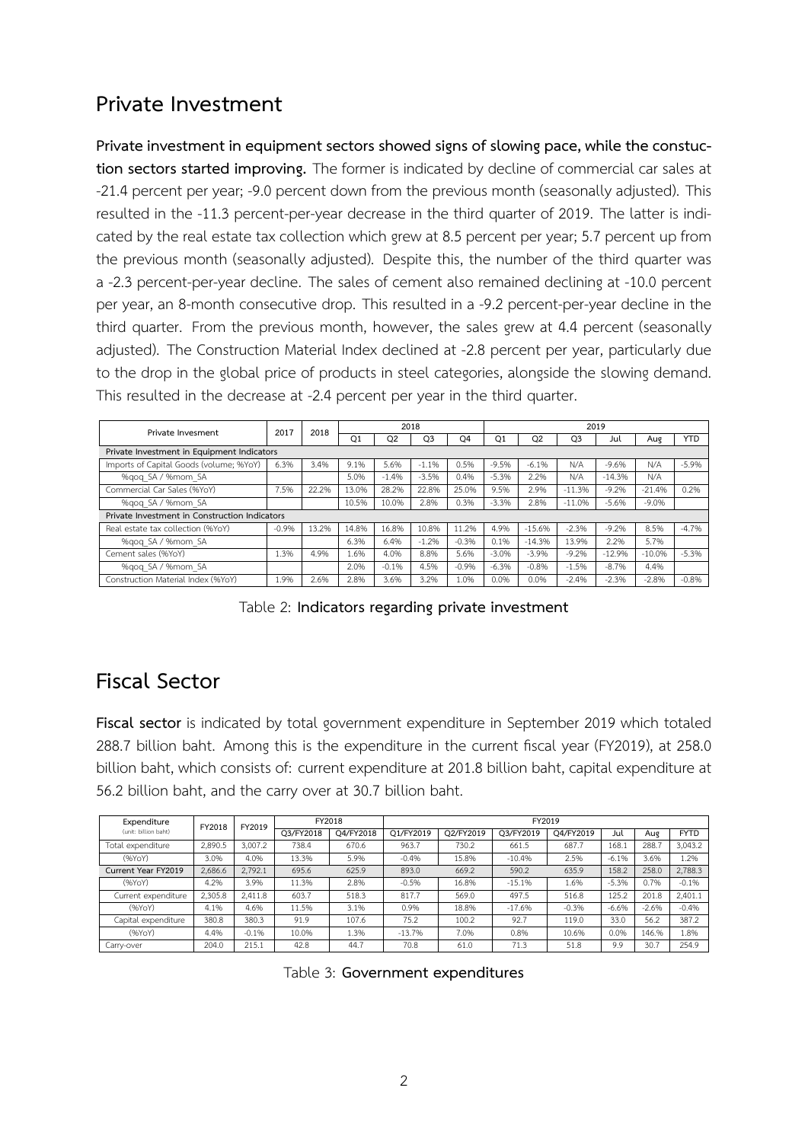## **Private Investment**

**Private investment in equipment sectors showed signs of slowing pace, while the constuction sectors started improving.** The former is indicated by decline of commercial car sales at -21.4 percent per year; -9.0 percent down from the previous month (seasonally adjusted). This resulted in the -11.3 percent-per-year decrease in the third quarter of 2019. The latter is indicated by the real estate tax collection which grew at 8.5 percent per year; 5.7 percent up from the previous month (seasonally adjusted). Despite this, the number of the third quarter was a -2.3 percent-per-year decline. The sales of cement also remained declining at -10.0 percent per year, an 8-month consecutive drop. This resulted in a -9.2 percent-per-year decline in the third quarter. From the previous month, however, the sales grew at 4.4 percent (seasonally adjusted). The Construction Material Index declined at -2.8 percent per year, particularly due to the drop in the global price of products in steel categories, alongside the slowing demand. This resulted in the decrease at -2.4 percent per year in the third quarter.

| Private Invesment                             | 2017    | 2018  |       |         | 2018           |                | 2019             |                |          |          |          |            |  |  |
|-----------------------------------------------|---------|-------|-------|---------|----------------|----------------|------------------|----------------|----------|----------|----------|------------|--|--|
|                                               |         |       | Q1    | Q2      | Q <sub>3</sub> | O <sub>4</sub> | $_{\mathsf{Q1}}$ | Q <sub>2</sub> | Q3       | Jul      | Aug      | <b>YTD</b> |  |  |
| Private Investment in Equipment Indicators    |         |       |       |         |                |                |                  |                |          |          |          |            |  |  |
| Imports of Capital Goods (volume; %YoY)       | 6.3%    | 3.4%  | 9.1%  | 5.6%    | $-1.1%$        | 0.5%           | $-9.5%$          | $-6.1%$        | N/A      | $-9.6%$  | N/A      | $-5.9%$    |  |  |
| %gog SA / %mom SA                             |         |       | 5.0%  | $-1.4%$ | $-3.5%$        | 0.4%           | $-5.3%$          | 2.2%           | N/A      | $-14.3%$ | N/A      |            |  |  |
| Commercial Car Sales (%YoY)                   | 7.5%    | 22.2% | 13.0% | 28.2%   | 22.8%          | 25.0%          | 9.5%             | 2.9%           | $-11.3%$ | $-9.2%$  | $-21.4%$ | 0.2%       |  |  |
| %gog SA / %mom SA                             |         |       | 10.5% | 10.0%   | 2.8%           | 0.3%           | $-3.3%$          | 2.8%           | $-11.0%$ | $-5.6%$  | $-9.0%$  |            |  |  |
| Private Investment in Construction Indicators |         |       |       |         |                |                |                  |                |          |          |          |            |  |  |
| Real estate tax collection (%YoY)             | $-0.9%$ | 13.2% | 14.8% | 16.8%   | 10.8%          | 11.2%          | 4.9%             | $-15.6%$       | $-2.3%$  | $-9.2%$  | 8.5%     | $-4.7%$    |  |  |
| %gog SA / %mom SA                             |         |       | 6.3%  | 6.4%    | $-1.2%$        | $-0.3%$        | 0.1%             | $-14.3%$       | 13.9%    | 2.2%     | 5.7%     |            |  |  |
| Cement sales (%YoY)                           | 1.3%    | 4.9%  | 1.6%  | 4.0%    | 8.8%           | 5.6%           | $-3.0%$          | $-3.9%$        | $-9.2%$  | $-12.9%$ | $-10.0%$ | $-5.3%$    |  |  |
| %gog SA / %mom SA                             |         |       | 2.0%  | $-0.1%$ | 4.5%           | $-0.9%$        | $-6.3%$          | $-0.8%$        | $-1.5%$  | $-8.7%$  | 4.4%     |            |  |  |
| Construction Material Index (%YoY)            | 1.9%    | 2.6%  | 2.8%  | 3.6%    | 3.2%           | 1.0%           | 0.0%             | 0.0%           | $-2.4%$  | $-2.3%$  | $-2.8%$  | $-0.8%$    |  |  |

Table 2: **Indicators regarding private investment**

## **Fiscal Sector**

**Fiscal sector** is indicated by total government expenditure in September 2019 which totaled 288.7 billion baht. Among this is the expenditure in the current fiscal year (FY2019), at 258.0 billion baht, which consists of: current expenditure at 201.8 billion baht, capital expenditure at 56.2 billion baht, and the carry over at 30.7 billion baht.

| Expenditure<br>(unit: billion baht) | FY2018  | FY2019  |           | FY2018    | FY2019    |           |           |           |         |         |             |  |  |  |
|-------------------------------------|---------|---------|-----------|-----------|-----------|-----------|-----------|-----------|---------|---------|-------------|--|--|--|
|                                     |         |         | Q3/FY2018 | O4/FY2018 | O1/FY2019 | O2/FY2019 | O3/FY2019 | O4/FY2019 | Jul     | Aug     | <b>FYTD</b> |  |  |  |
| Total expenditure                   | 2.890.5 | 3,007.2 | 738.4     | 670.6     | 963.7     | 730.2     | 661.5     | 687.7     | 168.1   | 288.7   | 3.043.2     |  |  |  |
| (96YoY)                             | 3.0%    | 4.0%    | 13.3%     | 5.9%      | $-0.4%$   | 15.8%     | $-10.4%$  | 2.5%      | $-6.1%$ | 3.6%    | 1.2%        |  |  |  |
| Current Year FY2019                 | 2,686.6 | 2.792.1 | 695.6     | 625.9     | 893.0     | 669.2     | 590.2     | 635.9     | 158.2   | 258.0   | 2,788.3     |  |  |  |
| (96YoY)                             | 4.2%    | 3.9%    | 11.3%     | 2.8%      | $-0.5%$   | 16.8%     | $-15.1%$  | 1.6%      | $-5.3%$ | 0.7%    | $-0.1%$     |  |  |  |
| Current expenditure                 | 2,305.8 | 2.411.8 | 603.7     | 518.3     | 817.7     | 569.0     | 497.5     | 516.8     | 125.2   | 201.8   | 2.401.1     |  |  |  |
| (96YoY)                             | 4.1%    | 4.6%    | 11.5%     | 3.1%      | 0.9%      | 18.8%     | $-17.6%$  | $-0.3%$   | $-6.6%$ | $-2.6%$ | $-0.4%$     |  |  |  |
| Capital expenditure                 | 380.8   | 380.3   | 91.9      | 107.6     | 75.2      | 100.2     | 92.7      | 119.0     | 33.0    | 56.2    | 387.2       |  |  |  |
| (96YoY)                             | 4.4%    | $-0.1%$ | 10.0%     | 1.3%      | $-13.7%$  | 7.0%      | 0.8%      | 10.6%     | 0.0%    | 146.%   | 1.8%        |  |  |  |
| Carry-over                          | 204.0   | 215.1   | 42.8      | 44.7      | 70.8      | 61.0      | 71.3      | 51.8      | 9.9     | 30.7    | 254.9       |  |  |  |

Table 3: **Government expenditures**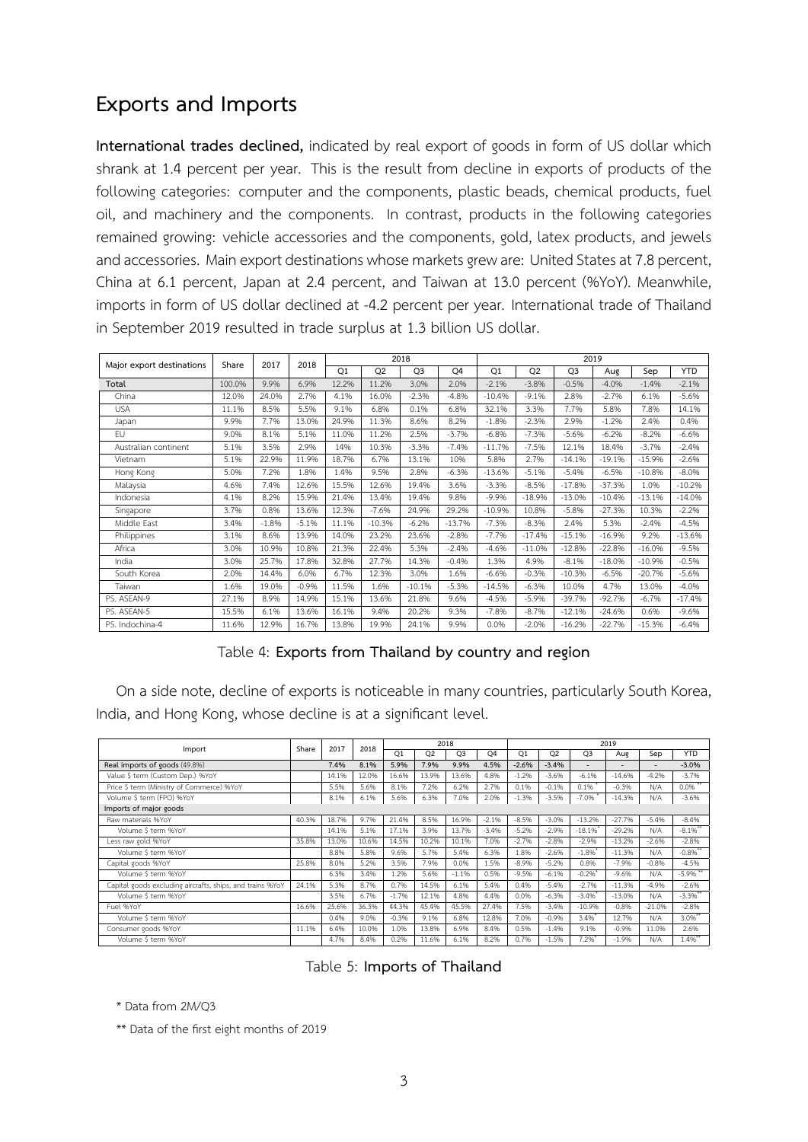#### **Exports and Imports**

**International trades declined,** indicated by real export of goods in form of US dollar which shrank at 1.4 percent per year. This is the result from decline in exports of products of the following categories: computer and the components, plastic beads, chemical products, fuel oil, and machinery and the components. In contrast, products in the following categories remained growing: vehicle accessories and the components, gold, latex products, and jewels and accessories. Main export destinations whose markets grew are: United States at 7.8 percent, China at 6.1 percent, Japan at 2.4 percent, and Taiwan at 13.0 percent (%YoY). Meanwhile, imports in form of US dollar declined at -4.2 percent per year. International trade of Thailand in September 2019 resulted in trade surplus at 1.3 billion US dollar.

| Major export destinations | Share  | 2017    | 2018    |       |                | 2018           |          | 2019     |                |                |          |          |            |  |  |
|---------------------------|--------|---------|---------|-------|----------------|----------------|----------|----------|----------------|----------------|----------|----------|------------|--|--|
|                           |        |         |         | Q1    | Q <sub>2</sub> | Q <sub>3</sub> | Q4       | Q1       | Q <sub>2</sub> | Q <sub>3</sub> | Aug      | Sep      | <b>YTD</b> |  |  |
| Total                     | 100.0% | 9.9%    | 6.9%    | 12.2% | 11.2%          | 3.0%           | 2.0%     | $-2.1%$  | $-3.8%$        | $-0.5%$        | $-4.0%$  | $-1.4%$  | $-2.1%$    |  |  |
| China                     | 12.0%  | 24.0%   | 2.7%    | 4.1%  | 16.0%          | $-2.3%$        | $-4.8%$  | $-10.4%$ | $-9.1%$        | 2.8%           | $-2.7%$  | 6.1%     | $-5.6%$    |  |  |
| <b>USA</b>                | 11.1%  | 8.5%    | 5.5%    | 9.1%  | 6.8%           | 0.1%           | 6.8%     | 32.1%    | 3.3%           | 7.7%           | 5.8%     | 7.8%     | 14.1%      |  |  |
| Japan                     | 9.9%   | 7.7%    | 13.0%   | 24.9% | 11.3%          | 8.6%           | 8.2%     | $-1.8%$  | $-2.3%$        | 2.9%           | $-1.2%$  | 2.4%     | 0.4%       |  |  |
| EU                        | 9.0%   | 8.1%    | 5.1%    | 11.0% | 11.2%          | 2.5%           | $-3.7%$  | $-6.8%$  | $-7.3%$        | $-5.6%$        | $-6.2%$  | $-8.2%$  | $-6.6%$    |  |  |
| Australian continent      | 5.1%   | 3.5%    | 2.9%    | 14%   | 10.3%          | $-3.3%$        | $-7.4%$  | $-11.7%$ | $-7.5%$        | 12.1%          | 18.4%    | $-3.7%$  | $-2.4%$    |  |  |
| Vietnam                   | 5.1%   | 22.9%   | 11.9%   | 18.7% | 6.7%           | 13.1%          | 10%      | 5.8%     | 2.7%           | $-14.1%$       | $-19.1%$ | $-15.9%$ | $-2.6%$    |  |  |
| Hong Kong                 | 5.0%   | 7.2%    | 1.8%    | 1.4%  | 9.5%           | 2.8%           | $-6.3%$  | $-13.6%$ | $-5.1%$        | $-5.4%$        | $-6.5%$  | $-10.8%$ | $-8.0%$    |  |  |
| Malaysia                  | 4.6%   | 7.4%    | 12.6%   | 15.5% | 12.6%          | 19.4%          | 3.6%     | $-3.3%$  | $-8.5%$        | $-17.8%$       | $-37.3%$ | 1.0%     | $-10.2%$   |  |  |
| Indonesia                 | 4.1%   | 8.2%    | 15.9%   | 21.4% | 13.4%          | 19.4%          | 9.8%     | $-9.9%$  | $-18.9%$       | $-13.0%$       | $-10.4%$ | $-13.1%$ | $-14.0%$   |  |  |
| Singapore                 | 3.7%   | 0.8%    | 13.6%   | 12.3% | $-7.6%$        | 24.9%          | 29.2%    | $-10.9%$ | 10.8%          | $-5.8%$        | $-27.3%$ | 10.3%    | $-2.2%$    |  |  |
| Middle East               | 3.4%   | $-1.8%$ | $-5.1%$ | 11.1% | $-10.3%$       | $-6.2%$        | $-13.7%$ | $-7.3%$  | $-8.3%$        | 2.4%           | 5.3%     | $-2.4%$  | $-4.5%$    |  |  |
| Philippines               | 3.1%   | 8.6%    | 13.9%   | 14.0% | 23.2%          | 23.6%          | $-2.8%$  | $-7.7%$  | $-17.4%$       | $-15.1%$       | $-16.9%$ | 9.2%     | $-13.6%$   |  |  |
| Africa                    | 3.0%   | 10.9%   | 10.8%   | 21.3% | 22.4%          | 5.3%           | $-2.4%$  | $-4.6%$  | $-11.0%$       | $-12.8%$       | $-22.8%$ | $-16.0%$ | $-9.5%$    |  |  |
| India                     | 3.0%   | 25.7%   | 17.8%   | 32.8% | 27.7%          | 14.3%          | $-0.4%$  | 1.3%     | 4.9%           | $-8.1%$        | $-18.0%$ | $-10.9%$ | $-0.5%$    |  |  |
| South Korea               | 2.0%   | 14.4%   | 6.0%    | 6.7%  | 12.3%          | 3.0%           | 1.6%     | $-6.6%$  | $-0.3%$        | $-10.3%$       | $-6.5%$  | $-20.7%$ | $-5.6%$    |  |  |
| Taiwan                    | 1.6%   | 19.0%   | $-0.9%$ | 11.5% | 1.6%           | $-10.1%$       | $-5.3%$  | $-14.5%$ | $-6.3%$        | 10.0%          | 4.7%     | 13.0%    | $-4.0%$    |  |  |
| PS. ASEAN-9               | 27.1%  | 8.9%    | 14.9%   | 15.1% | 13.6%          | 21.8%          | 9.6%     | $-4.5%$  | $-5.9%$        | $-39.7%$       | $-92.7%$ | $-6.7%$  | $-17.4%$   |  |  |
| PS. ASEAN-5               | 15.5%  | 6.1%    | 13.6%   | 16.1% | 9.4%           | 20.2%          | 9.3%     | $-7.8%$  | $-8.7%$        | $-12.1%$       | $-24.6%$ | 0.6%     | $-9.6%$    |  |  |
| PS. Indochina-4           | 11.6%  | 12.9%   | 16.7%   | 13.8% | 19.9%          | 24.1%          | 9.9%     | 0.0%     | $-2.0%$        | $-16.2%$       | $-22.7%$ | $-15.3%$ | $-6.4%$    |  |  |

Table 4: **Exports from Thailand by country and region**

On a side note, decline of exports is noticeable in many countries, particularly South Korea, India, and Hong Kong, whose decline is at a significant level.

| Import                                                    | Share | 2017  | 2018  |                |                | 2018           |         | 2019           |                |                       |          |          |                       |  |
|-----------------------------------------------------------|-------|-------|-------|----------------|----------------|----------------|---------|----------------|----------------|-----------------------|----------|----------|-----------------------|--|
|                                                           |       |       |       | O <sub>1</sub> | O <sub>2</sub> | Q <sub>3</sub> | Q4      | O <sub>1</sub> | O <sub>2</sub> | Q <sub>3</sub>        | Aug      | Sep      | <b>YTD</b>            |  |
| Real imports of goods (49.8%)                             |       | 7.4%  | 8.1%  | 5.9%           | 7.9%           | 9.9%           | 4.5%    | $-2.6%$        | $-3.4%$        | ۰                     |          |          | $-3.0%$               |  |
| Value \$ term (Custom Dep.) %YoY                          |       | 14.1% | 12.0% | 16.6%          | 13.9%          | 13.6%          | 4.8%    | $-1.2%$        | $-3.6%$        | $-6.1%$               | $-14.6%$ | $-4.2%$  | $-3.7%$               |  |
| Price \$ term (Ministry of Commerce) %YoY                 |       | 5.5%  | 5.6%  | 8.1%           | 7.2%           | 6.2%           | 2.7%    | 0.1%           | $-0.196$       | $0.1\%$ <sup>*</sup>  | $-0.3%$  | N/A      | $0.0\%$ <sup>**</sup> |  |
| Volume \$ term (FPO) %YoY                                 |       | 8.1%  | 6.1%  | 5.6%           | 6.3%           | 7.0%           | 2.0%    | $-1.3%$        | $-3.5%$        | $-7.0\%$ *            | $-14.3%$ | N/A      | $-3.6%$               |  |
| Imports of major goods                                    |       |       |       |                |                |                |         |                |                |                       |          |          |                       |  |
| Raw materials %YoY                                        | 40.3% | 18.7% | 9.7%  | 21.4%          | 8.5%           | 16.9%          | $-2.1%$ | $-8.5%$        | $-3.0%$        | $-13.2%$              | $-27.7%$ | $-5.4%$  | $-8.4%$               |  |
| Volume \$ term %YoY                                       |       | 14.1% | 5.1%  | 17.1%          | 3.9%           | 13.7%          | $-3.4%$ | $-5.2%$        | $-2.9%$        | $-18.1%$              | $-29.2%$ | N/A      | $-8.196$ **           |  |
| Less raw gold %YoY                                        | 35.8% | 13.0% | 10.6% | 14.5%          | 10.2%          | 10.1%          | 7.0%    | $-2.7%$        | $-2.8%$        | $-2.9%$               | $-13.2%$ | $-2.6%$  | $-2.8%$               |  |
| Volume \$ term %YoY                                       |       | 8.8%  | 5.8%  | 9.6%           | 5.7%           | 5.4%           | 6.3%    | 1.8%           | $-2.6%$        | $-1.8\%$              | $-11.3%$ | N/A      | $-0.896$ **           |  |
| Capital goods %YoY                                        | 25.8% | 8.0%  | 5.2%  | 3.5%           | 7.9%           | 0.0%           | 1.5%    | $-8.9%$        | $-5.2%$        | 0.8%                  | $-7.996$ | $-0.8%$  | $-4.5%$               |  |
| Volume \$ term %YoY                                       |       | 6.3%  | 3.4%  | 1.2%           | 5.6%           | $-1.196$       | 0.5%    | $-9.5%$        | $-6.1%$        | $-0.2\%$              | $-9.6%$  | N/A      | $-5.996$ **           |  |
| Capital goods excluding aircrafts, ships, and trains %YoY | 24.1% | 5.3%  | 8.7%  | 0.7%           | 14.5%          | 6.1%           | 5.4%    | 0.4%           | $-5.4%$        | $-2.7%$               | $-11.3%$ | $-4.9%$  | $-2.6%$               |  |
| Volume \$ term %YoY                                       |       | 3.5%  | 6.7%  | $-1.7%$        | 12.1%          | 4.8%           | 4.4%    | 0.0%           | $-6.3%$        | $-3.4\%$ <sup>*</sup> | $-13.0%$ | N/A      | $-3.396$ **           |  |
| Fuel %YoY                                                 | 16.6% | 25.6% | 36.3% | 44.3%          | 45.4%          | 45.5%          | 27.4%   | 7.5%           | $-3.4%$        | $-10.9%$              | $-0.8%$  | $-21.0%$ | $-2.8%$               |  |
| Volume \$ term %YoY                                       |       | 0.4%  | 9.0%  | $-0.3%$        | 9.1%           | 6.8%           | 12.8%   | 7.0%           | $-0.996$       | 3.4%*                 | 12.7%    | N/A      | $3.0\%$ **            |  |
| Consumer goods %YoY                                       | 11.1% | 6.4%  | 10.0% | 1.0%           | 13.8%          | 6.9%           | 8.4%    | 0.5%           | $-1.4%$        | 9.1%                  | $-0.9%$  | 11.0%    | 2.6%                  |  |
| Volume \$ term %YoY                                       |       | 4.7%  | 8.4%  | 0.2%           | 11.6%          | 6.1%           | 8.2%    | 0.7%           | $-1.5%$        | $7.2\%$               | $-1.996$ | N/A      | $1.4\%$ **            |  |

Table 5: **Imports of Thailand**

\* Data from 2M/Q3

\*\* Data of the first eight months of 2019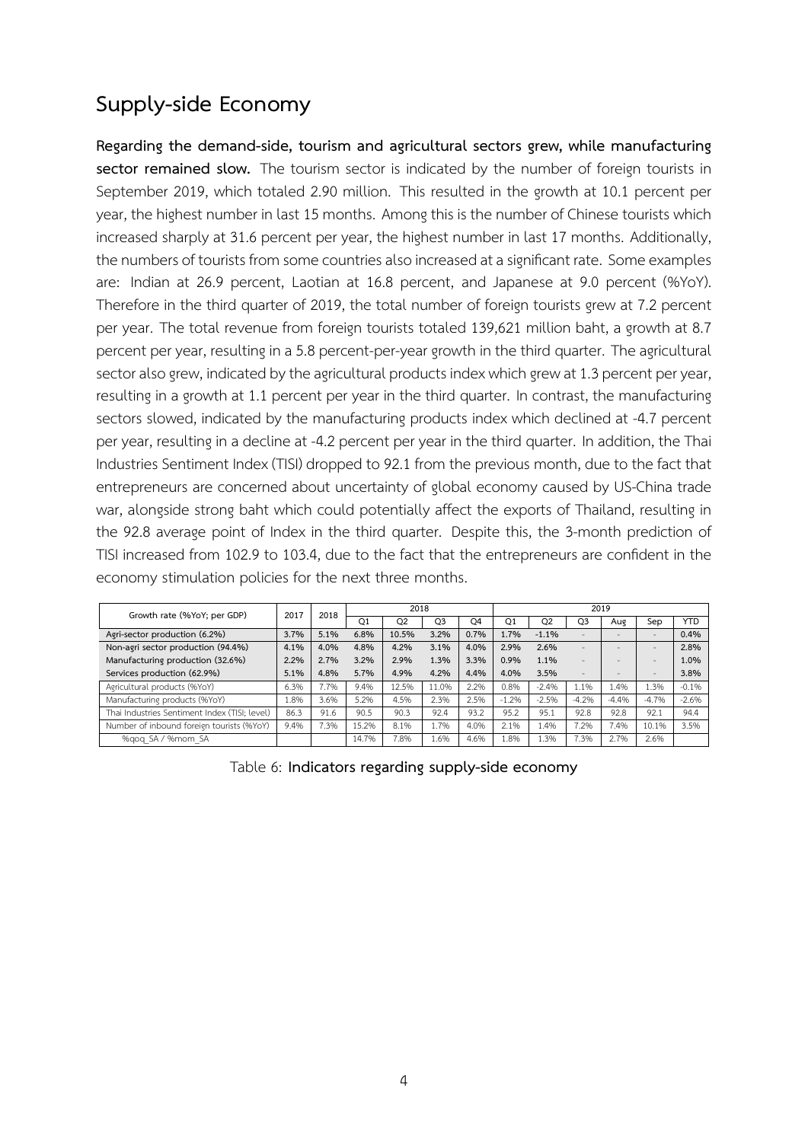# **Supplyside Economy**

Regarding the demand-side, tourism and agricultural sectors grew, while manufacturing sector remained slow. The tourism sector is indicated by the number of foreign tourists in September 2019, which totaled 2.90 million. This resulted in the growth at 10.1 percent per year, the highest number in last 15 months. Among this is the number of Chinese tourists which increased sharply at 31.6 percent per year, the highest number in last 17 months. Additionally, the numbers of tourists from some countries also increased at a significant rate. Some examples are: Indian at 26.9 percent, Laotian at 16.8 percent, and Japanese at 9.0 percent (%YoY). Therefore in the third quarter of 2019, the total number of foreign tourists grew at 7.2 percent per year. The total revenue from foreign tourists totaled 139,621 million baht, a growth at 8.7 percent per year, resulting in a 5.8 percent-per-year growth in the third quarter. The agricultural sector also grew, indicated by the agricultural products index which grew at 1.3 percent per year, resulting in a growth at 1.1 percent per year in the third quarter. In contrast, the manufacturing sectors slowed, indicated by the manufacturing products index which declined at -4.7 percent per year, resulting in a decline at -4.2 percent per year in the third quarter. In addition, the Thai Industries Sentiment Index (TISI) dropped to 92.1 from the previous month, due to the fact that entrepreneurs are concerned about uncertainty of global economy caused by US-China trade war, alongside strong baht which could potentially affect the exports of Thailand, resulting in the 92.8 average point of Index in the third quarter. Despite this, the 3-month prediction of TISI increased from 102.9 to 103.4, due to the fact that the entrepreneurs are confident in the economy stimulation policies for the next three months.

| Growth rate (%YoY; per GDP)                   | 2017 | 2018 |       | 2018           |                |      | 2019           |                |                          |                          |                          |            |  |  |
|-----------------------------------------------|------|------|-------|----------------|----------------|------|----------------|----------------|--------------------------|--------------------------|--------------------------|------------|--|--|
|                                               |      |      | Q1    | O <sub>2</sub> | O <sub>3</sub> | O4   | O <sub>1</sub> | O <sub>2</sub> | O3                       | Aug                      | Sep                      | <b>YTD</b> |  |  |
| Agri-sector production (6.2%)                 | 3.7% | 5.1% | 6.8%  | 10.5%          | 3.2%           | 0.7% | 1.7%           | $-1.1%$        | $\overline{\phantom{a}}$ |                          | $\overline{\phantom{a}}$ | 0.4%       |  |  |
| Non-agri sector production (94.4%)            | 4.1% | 4.0% | 4.8%  | 4.2%           | 3.1%           | 4.0% | 2.9%           | 2.6%           |                          |                          | $\overline{\phantom{a}}$ | 2.8%       |  |  |
| Manufacturing production (32.6%)              | 2.2% | 2.7% | 3.2%  | 2.9%           | 1.3%           | 3.3% | 0.9%           | 1.1%           | $\overline{\phantom{0}}$ | $\overline{\phantom{0}}$ | $\qquad \qquad -$        | 1.0%       |  |  |
| Services production (62.9%)                   | 5.1% | 4.8% | 5.7%  | 4.9%           | 4.2%           | 4.4% | 4.0%           | 3.5%           | $\overline{\phantom{0}}$ | $\overline{\phantom{0}}$ | $\qquad \qquad -$        | 3.8%       |  |  |
| Agricultural products (%YoY)                  | 6.3% | 7.7% | 9.4%  | 12.5%          | 11.0%          | 2.2% | 0.8%           | $-2.4%$        | .1%                      | 1.4%                     | 1.3%                     | $-0.1%$    |  |  |
| Manufacturing products (%YoY)                 | .8%  | 3.6% | 5.2%  | 4.5%           | 2.3%           | 2.5% | $-1.2%$        | $-2.5%$        | $-4.2%$                  | $-4.4%$                  | $-4.7%$                  | $-2.6%$    |  |  |
| Thai Industries Sentiment Index (TISI; level) | 86.3 | 91.6 | 90.5  | 90.3           | 92.4           | 93.2 | 95.2           | 95.1           | 92.8                     | 92.8                     | 92.1                     | 94.4       |  |  |
| Number of inbound foreign tourists (%YoY)     | 9.4% | 7.3% | 15.2% | 8.1%           | 1.7%           | 4.0% | 2.1%           | 1.4%           | 7.2%                     | 7.4%                     | 10.1%                    | 3.5%       |  |  |
| %gog SA / %mom SA                             |      |      | 14.7% | 7.8%           | 1.6%           | 4.6% | 1.8%           | L.3%           | 7.3%                     | 2.7%                     | 2.6%                     |            |  |  |

Table 6: **Indicators regarding supplyside economy**